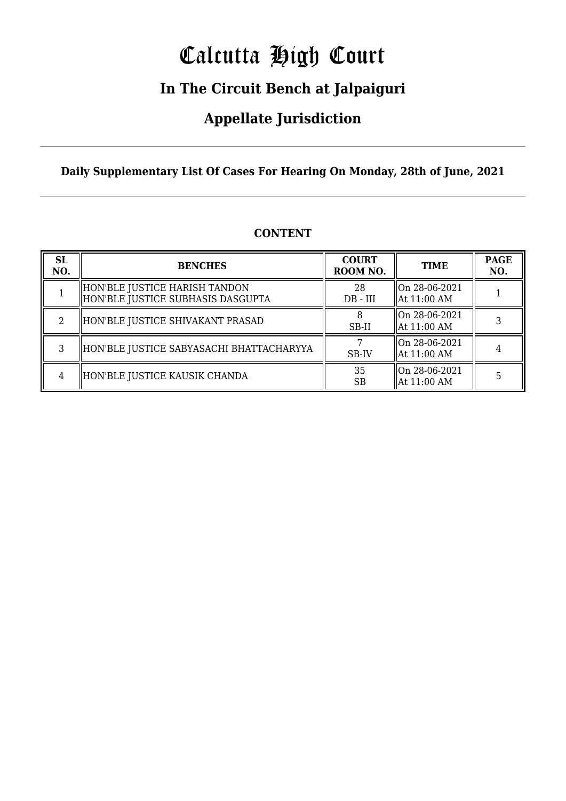# Calcutta High Court

### **In The Circuit Bench at Jalpaiguri**

### **Appellate Jurisdiction**

#### **Daily Supplementary List Of Cases For Hearing On Monday, 28th of June, 2021**

| <b>SL</b><br>NO. | <b>BENCHES</b>                                                     | <b>COURT</b><br>ROOM NO. | <b>TIME</b>                              | <b>PAGE</b><br>NO. |
|------------------|--------------------------------------------------------------------|--------------------------|------------------------------------------|--------------------|
|                  | HON'BLE JUSTICE HARISH TANDON<br>HON'BLE JUSTICE SUBHASIS DASGUPTA | 28<br>$DB - III$         | On 28-06-2021<br>$\parallel$ At 11:00 AM |                    |
|                  | HON'BLE JUSTICE SHIVAKANT PRASAD                                   | SB-II                    | On 28-06-2021<br>  At 11:00 AM           |                    |
|                  | HON'BLE JUSTICE SABYASACHI BHATTACHARYYA                           | SB-IV                    | On 28-06-2021<br>$\parallel$ At 11:00 AM |                    |
|                  | HON'BLE JUSTICE KAUSIK CHANDA                                      | 35<br><b>SB</b>          | $\ $ On 28-06-2021<br>  At 11:00 AM      |                    |

#### **CONTENT**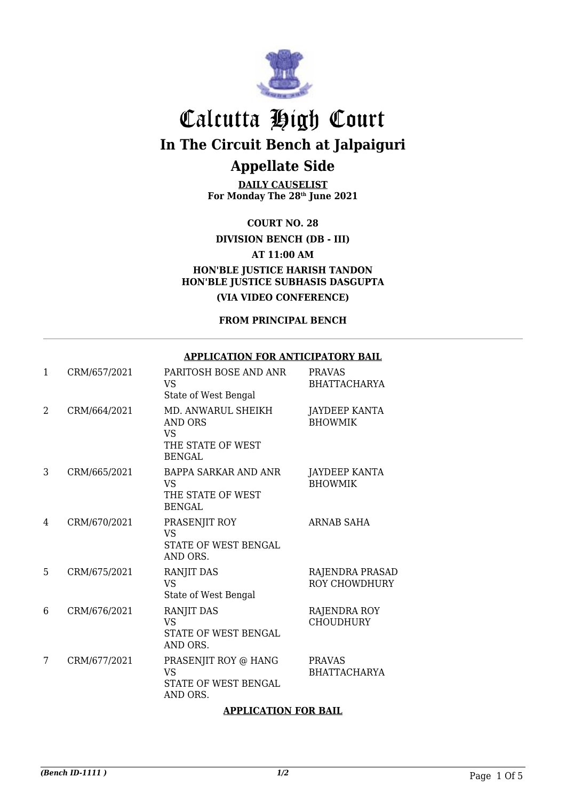

**DAILY CAUSELIST For Monday The 28th June 2021**

**COURT NO. 28**

**DIVISION BENCH (DB - III)**

**AT 11:00 AM**

**HON'BLE JUSTICE HARISH TANDON HON'BLE JUSTICE SUBHASIS DASGUPTA**

**(VIA VIDEO CONFERENCE)**

**FROM PRINCIPAL BENCH**

#### **APPLICATION FOR ANTICIPATORY BAIL**

| 1 | CRM/657/2021 | PARITOSH BOSE AND ANR<br><b>VS</b><br>State of West Bengal                       | <b>PRAVAS</b><br><b>BHATTACHARYA</b>    |
|---|--------------|----------------------------------------------------------------------------------|-----------------------------------------|
| 2 | CRM/664/2021 | MD. ANWARUL SHEIKH<br>AND ORS<br><b>VS</b><br>THE STATE OF WEST<br><b>BENGAL</b> | <b>JAYDEEP KANTA</b><br><b>BHOWMIK</b>  |
| 3 | CRM/665/2021 | <b>BAPPA SARKAR AND ANR</b><br><b>VS</b><br>THE STATE OF WEST<br><b>BENGAL</b>   | JAYDEEP KANTA<br><b>BHOWMIK</b>         |
| 4 | CRM/670/2021 | PRASENJIT ROY<br><b>VS</b><br>STATE OF WEST BENGAL<br>AND ORS.                   | ARNAB SAHA                              |
| 5 | CRM/675/2021 | RANJIT DAS<br><b>VS</b><br>State of West Bengal                                  | RAJENDRA PRASAD<br><b>ROY CHOWDHURY</b> |
| 6 | CRM/676/2021 | RANJIT DAS<br><b>VS</b><br>STATE OF WEST BENGAL<br>AND ORS.                      | RAJENDRA ROY<br><b>CHOUDHURY</b>        |
| 7 | CRM/677/2021 | PRASENJIT ROY @ HANG<br><b>VS</b><br>STATE OF WEST BENGAL<br>AND ORS.            | <b>PRAVAS</b><br><b>BHATTACHARYA</b>    |

#### **APPLICATION FOR BAIL**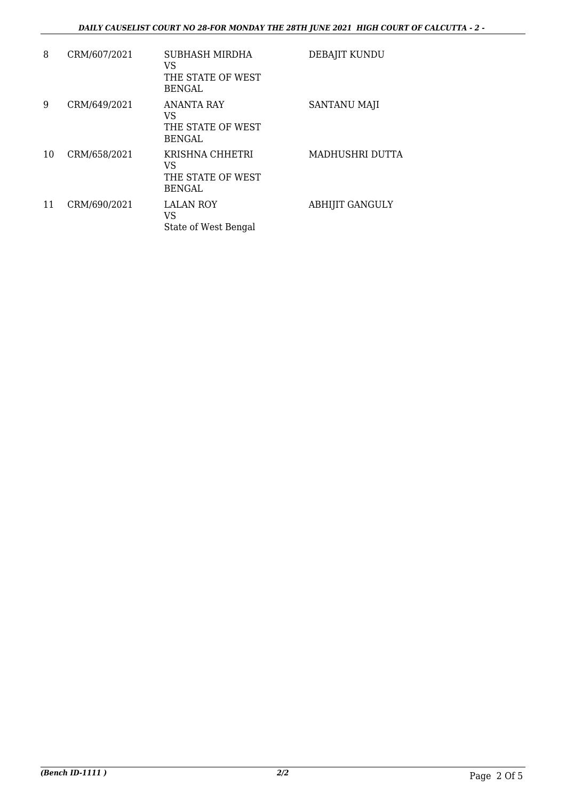#### *DAILY CAUSELIST COURT NO 28-FOR MONDAY THE 28TH JUNE 2021 HIGH COURT OF CALCUTTA - 2 -*

| 8  | CRM/607/2021 | SUBHASH MIRDHA<br>VS<br>THE STATE OF WEST<br><b>BENGAL</b>    | DEBAJIT KUNDU          |
|----|--------------|---------------------------------------------------------------|------------------------|
| 9  | CRM/649/2021 | <b>ANANTA RAY</b><br>VS<br>THE STATE OF WEST<br><b>BENGAL</b> | <b>SANTANU MAJI</b>    |
| 10 | CRM/658/2021 | KRISHNA CHHETRI<br>VS<br>THE STATE OF WEST<br><b>BENGAL</b>   | MADHUSHRI DUTTA        |
| 11 | CRM/690/2021 | <b>LALAN ROY</b><br>VS<br>State of West Bengal                | <b>ABHIJIT GANGULY</b> |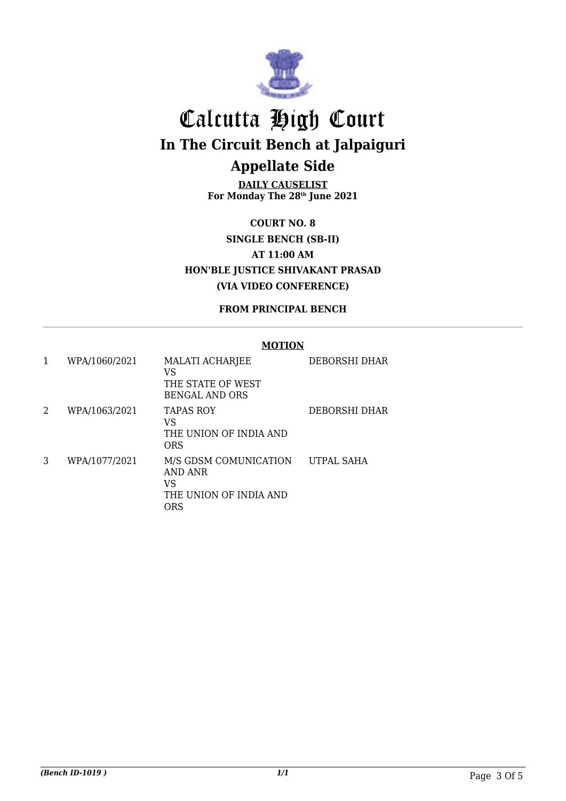

**DAILY CAUSELIST For Monday The 28th June 2021**

**COURT NO. 8 SINGLE BENCH (SB-II) AT 11:00 AM HON'BLE JUSTICE SHIVAKANT PRASAD (VIA VIDEO CONFERENCE)**

**FROM PRINCIPAL BENCH**

#### **MOTION**

| 1 | WPA/1060/2021 | <b>MALATI ACHARJEE</b><br>VS<br>THE STATE OF WEST<br><b>BENGAL AND ORS</b> | DEBORSHI DHAR        |
|---|---------------|----------------------------------------------------------------------------|----------------------|
| 2 | WPA/1063/2021 | <b>TAPAS ROY</b><br>VS<br>THE UNION OF INDIA AND<br><b>ORS</b>             | <b>DEBORSHI DHAR</b> |
| 3 | WPA/1077/2021 | M/S GDSM COMUNICATION<br>AND ANR<br>VS<br>THE UNION OF INDIA AND<br>ORS    | UTPAL SAHA           |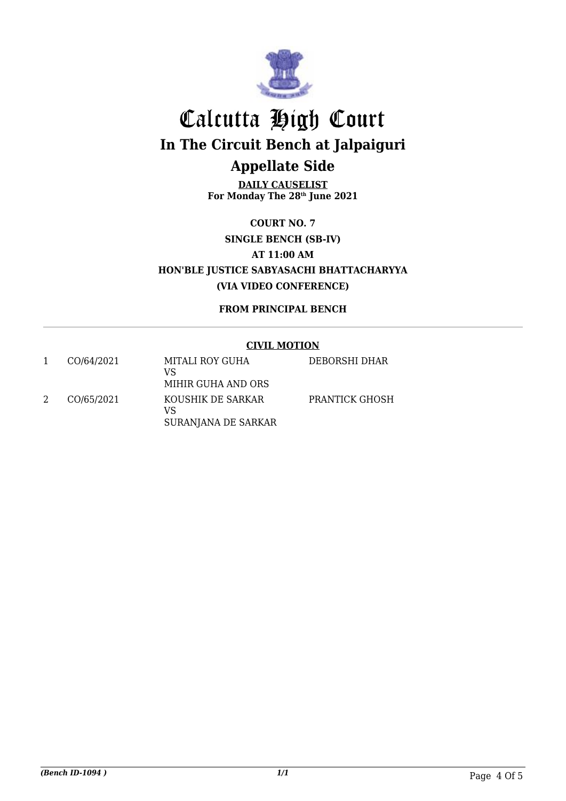

**DAILY CAUSELIST For Monday The 28th June 2021**

**COURT NO. 7 SINGLE BENCH (SB-IV) AT 11:00 AM HON'BLE JUSTICE SABYASACHI BHATTACHARYYA (VIA VIDEO CONFERENCE)**

**FROM PRINCIPAL BENCH**

#### **CIVIL MOTION**

| CO/64/2021 | MITALI ROY GUHA<br>VS<br>MIHIR GUHA AND ORS    | DEBORSHI DHAR  |
|------------|------------------------------------------------|----------------|
| CO/65/2021 | KOUSHIK DE SARKAR<br>VS<br>SURANJANA DE SARKAR | PRANTICK GHOSH |